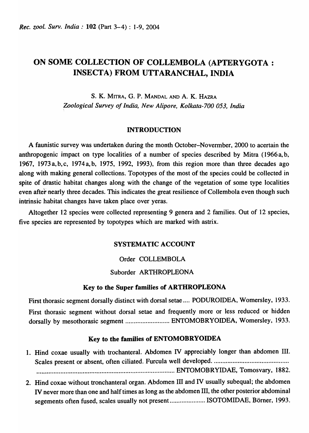# ON SOME COLLECTION OF COLLEMBOLA (APTERYGOTA: INSECTA) FROM UTTARANCHAL, INDIA

S. K. MITRA, G. P. MANDAL AND A. K. HAZRA ~ological *Survey of India, New Alipore, Kolkata-700 053, India* 

## INTRODUCTION

A faunistic survey was undertaken during the month October-Novermber, 2000 to acertain the anthropogenic impact on type localities of a number of species described by Mitra (1966 a, b, 1967, 1973a,b,c, 1974a,b, 1975, 1992, 1993), from this region more than three decades ago along with making general collections. Topotypes of the most of the species could be collected in spite of drastic habitat changes along with the change of the vegetation of some type localities even after nearly three decades. This indicates the great resilience of Collembola even though such intrinsic habitat changes have taken place over yeras.

Altogether 12 species were collected representing 9 genera and 2 families. Out of 12 species, five species are represented by topotypes which are marked with astrix.

## SYSTEMATIC ACCOUNT

## Order COLLEMBOLA

## Suborder ARTHROPLEONA

## Key to the Super families of ARTHROPLEONA

First thorasic segment dorsally distinct with dorsal setae .... PODUROIDEA, Womersley, 1933. First thorasic segment without dorsal setae and frequently more or less reduced or hidden dorsally by mesothorasic segment .......................... ENTOMOBRYOIDEA, Womersley, 1933.

## Key to the families of ENTOMOBRYOIDEA

- 1. Hind coxae usually with trochanteral. Abdomen IV appreciably longer than abdomen III. Scales present or absent, often ciliated. Furcula well developed ............................................ . ............................................................... ...... ........ .... ENTOMOBRYIDAE, Tomosvary, 1882.
- 2. Hind coxae without tronchanteral organ. Abdomen III and IV usually subequal; the abdomen IV never more than one and half times as long as the abdomen III, the other posterior abdominal segements often fused, scales usually not present..................... ISOTOMIDAE, Börner, 1993.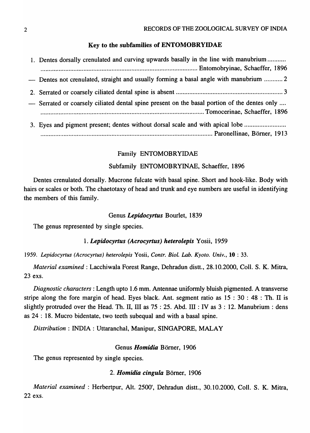## Key to the subfamilies of ENTOMOBRYIDAE

| 1. Dentes dorsally crenulated and curving upwards basally in the line with manubrium         |
|----------------------------------------------------------------------------------------------|
|                                                                                              |
| — Dentes not crenulated, straight and usually forming a basal angle with manubrium  2        |
|                                                                                              |
| - Serrated or coarsely ciliated dental spine present on the basal portion of the dentes only |
|                                                                                              |
| 3. Eyes and pigment present; dentes without dorsal scale and with apical lobe                |

........................................................................................................ Paronellinae, B orner, 1913

## Family ENTOMOBRYIDAE

## Subfamily ENTOMOBRYINAE, Schaeffer, 1896

Dentes crenulated dorsally. Mucrone fulcate with basal spine. Short and hook-like. Body with hairs or scales or both. The chaetotaxy of head and trunk and eye numbers are useful in identifying the members of this family.

## Genus *Lepidocyrtus* Bourlet, 1839

The genus represented by single species.

## 1. *Lepidocyrtus (Acrocyrtus) heterolepis* Yosii, 1959

*1959. Lepidocyrtus (Acrocyrtus) heterolepis* Yosii, *Contr. Biol. Lab. Kyoto. Univ.,* 10 : 33.

*Material examined:* Lacchiwala Forest Range, Dehradun distt., 28.10.2000, CoIl. S. K. Mitra, 23 exs.

*Diagnostic characters:* Length upto 1.6 mm. Antennae uniformly bluish pigmented. A transverse stripe along the fore margin of head. Eyes black. Ant. segment ratio as  $15 : 30 : 48 : Th.$  II is slightly protruded over the Head. Th. II, III as  $75:25$ . Abd. III: IV as  $3:12$ . Manubrium: dens as 24 : 18. Mucro bidentate, two teeth subequal and with a basal spine.

*Distribution:* INDIA: Uttaranchal, Manipur, SINGAPORE, MALAY

# Genus *Homidia* Börner, 1906

The genus represented by single species.

## *2. Homidia cingula* Bomer, 1906

*Material examined:* Herbertpur, Alt. 2500', Dehradun distt., 30.10.2000, ColI. S. K. Mitra, 22 exs.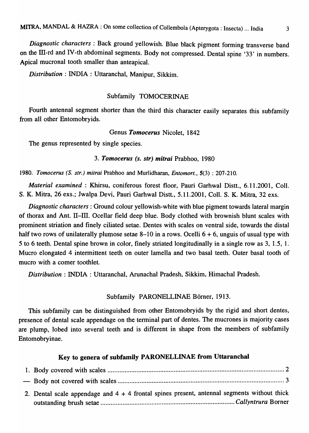*Diagnostic characters* : Back ground yellowish. Blue black pigment forming transverse band on the III-rd and IV -th abdominal segments. Body not compressed. Dental spine '33' in numbers. Apical mucronal tooth smaller than anteapical.

*Distribution:* INDIA: Uttaranchal, Manipur, Sikkim.

## Subfamily TOMOCERINAE

Fourth antennal segment shorter than the third this character easily separates this subfamily from all other Entomobryids.

#### Genus *Tomocerus* Nicolet, 1842

The genus represented by single species.

# *3. Tomocerus (s. str) mitrai* Prabhoo, 1980

*1980. Tomocerus (S. str.) mitrai* Prabhoo and Murlidharan, *Entomort.,* 5(3) : 207-210.

*Material examined* : Khirsu, coniferous forest floor, Pauri Garhwal Distt., 6.11.2001, Coll. S. K. Mitra, 26 exs.; Jwalpa Devi, Pauri Garhwal Distt., 5.11.2001, Coll. S. K. Mitra, 32 exs.

*Diagnostic characters:* Ground colour yellowish-white with blue pigment towards lateral margin of thorax and Ant. II-III. Ocellar field deep blue. Body clothed with brownish blunt scales with prominent striation and finely ciliated setae. Dentes with scales on ventral side, towards the distal half two rows of unilaterally plumose setae 8–10 in a rows. Ocelli  $6 + 6$ , unguis of usual type with 5 to 6 teeth. Dental spine brown in color, finely striated longitudinally in a single row as 3, 1.5, 1. Mucro elongated 4 intermittent teeth on outer lamella and two basal teeth. Outer basal tooth of mucro with a comer toothlet.

*Distribution:* INDIA : Uttaranchal, Arunachal Pradesh, Sikkim, Himachal Pradesh.

#### Subfamily PARONELLINAE Börner, 1913.

This subfamily can be distinguished from other Entomobryids by the rigid and short dentes, presence of dental scale appendage on the terminal part of dentes. The mucrones is majority cases are plump, lobed into several teeth and is different in shape from the members of subfamily Entomobryinae.

## Key to genera of subfamily PARONELLINAE from Uttaranchal

| 2. Dental scale appendage and $4 + 4$ frontal spines present, antennal segments without thick |  |
|-----------------------------------------------------------------------------------------------|--|
|                                                                                               |  |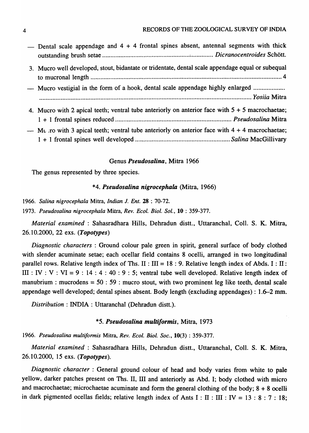#### 4 RECORDS OF THE ZOOLOGICAL SURVEY OF INDIA

| — Dental scale appendage and $4 + 4$ frontal spines absent, antennal segments with thick          |
|---------------------------------------------------------------------------------------------------|
| 3. Mucro well developed, stout, bidantate or tridentate, dental scale appendage equal or subequal |
| - Mucro vestigial in the form of a hook, dental scale appendage highly enlarged                   |
| 4. Mucro with 2 apical teeth; ventral tube anteriorly on anterior face with $5 + 5$ macrochaetae; |
| — Mu ro with 3 apical teeth; ventral tube anteriorly on anterior face with $4 + 4$ macrochaetae;  |

#### Genus *Pseudosalina,* Mitra 1966

The genus represented by three species.

## *\*4. Pseudosalina nigrocephala* (Mitra, 1966)

*1966. Salina nigrocephaLa* Mitra, *Indian* J. *Ent.* 28 : 70-72.

*1973. Pseudosalina nigrocephaLa* Mitra, *Rev. Ecol. Bioi. Sol.,* 10 : 359-377.

*Material examined* : Sahasradhara Hills, Dehradun distt., Uttaranchal, CoIl. S. K. Mitra, 26.10.2000, 22 exs. *(Topotypes)* 

*Diagnostic characters* : Ground colour pale green in spirit, general surface of body clothed with slender acuminate setae; each ocellar field contains 8 ocelli, arranged in two longitudinal parallel rows. Relative length index of Ths. II :  $III = 18 : 9$ . Relative length index of Abds. I : II: III : IV : V : VI = 9 : 14 : 4 : 40 : 9 : 5; ventral tube well developed. Relative length index of manubrium : mucrodens =  $50$  :  $59$  : mucro stout, with two prominent leg like teeth, dental scale appendage well developed; dental spines absent. Body length (excluding appendages) : 1.6-2 mm.

*Distribution:* INDIA: UttaranchaI (Dehradun distt.).

#### *\*5. Pseudosalina multiformis,* Mitra, 1973

*1966. Pseudosalina multiformis* Mitra, *Rev. Ecol. BioI. Soc.,* 10(3) : 359-377.

*Material examined* : Sahasradhara Hills, Dehradun distt., Uttaranchal, Coll. S. K. Mitra, 26.10.2000, 15 exs. *(Topotypes).* 

*Diagnostic character* : General ground colour of head and body varies from white to pale yellow, darker patches present on Ths. II, III and anteriorly as Abd. I; body clothed with micro and macrochaetae; microchaetae acuminate and form the general clothing of the body;  $8 + 8$  ocelli in dark pigmented ocellas fields; relative length index of Ants I : II : III : IV = 13 : 8 : 7 : 18;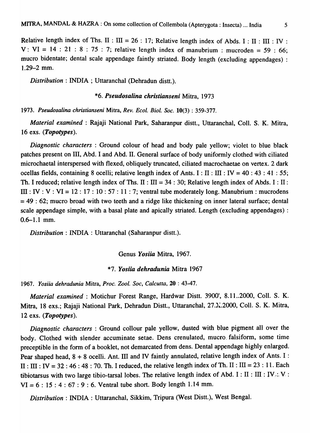Relative length index of Ths. II : III = 26 : 17; Relative length index of Abds. I : II : III : IV : V: VI = 14 : 21 : 8 : 75 : 7; relative length index of manubrium : mucroden = 59 : 66; mucro bidentate; dental scale appendage faintly striated. Body length (excluding appendages) :  $1.29 - 2$  mm.

*Distribution:* INDIA; Uttaranchal (Dehradun distt.).

#### *\*6. Pseudosalina christianseni* Mitra, 1973

*1973. Pseudosalina christianseni* Mitra, *Rev. Ecol. Bioi. Soc.* 10(3) : 359-377.

*Material examined* : Rajaji National Park, Saharanpur distt., Uttaranchal, ColI. S. K. Mitra, 16 exs. *(Topotypes).* 

*Diagnostic characters* : Ground colour of head and body pale yellow; violet to blue black patches present on III, Abd. I and Abd. II. General surface of body uniformly clothed with ciliated microchaetal interspersed with flexed, obliquely truncated, ciliated macrochaetae on vertex. 2 dark ocellas fields, containing 8 ocelli; relative length index of Ants. I : II : III : IV = 40 : 43 : 41 : 55; Th. I reduced; relative length index of Ths.  $II : III = 34 : 30$ ; Relative length index of Abds. I : II : III :  $IV: V: VI = 12: 17: 10: 57: 11: 7$ ; ventral tube moderately long. Manubrium: mucrodens  $= 49 : 62$ ; mucro broad with two teeth and a ridge like thickening on inner lateral surface; dental scale appendage simple, with a basal plate and apically striated. Length (excluding appendages) : 0.6-1.1 mm.

*Distribution:* INDIA: Uttaranchal (Saharanpur distt.).

Genus *Yosiia* Mitra, 1967.

#### *\*7. Yosiia dehradunia* Mitra 1967

*1967. Yosiia dehradunia* Mitra, *Proc.* 2001. *Soc, Calcutta,* 20 : 43-47.

*Material examined: Motichur Forest Range, Hardwar Distt. 3900', 8.11..2000, Coll. S. K.* Mitra, 18 exs.; Rajaji National Park, Dehradun Distt., Uttaranchal, 27. X. 2000, Coll. S. K. Mitra, 12 exs. *(Topotypes).* 

*Diagnostic characters* : Ground collour pale yellow, dusted with blue pigment all over the body. Clothed with slender accuminate setae. Dens crenulated, mucro. falsiform, some time preceptible in the form of a booklet, not demarcated from dens. Dental appendage highly enlarged. Pear shaped head,  $8 + 8$  ocelli. Ant. III and IV faintly annulated, relative length index of Ants. I :  $II : III : IV = 32 : 46 : 48 : 70$ . Th. I reduced, the relative length index of Th. II : III = 23 : 11. Each tibiotarsus with two large tibio-tarsal lobes. The relative length index of Abd. I : II : III : IV .: V :  $VI = 6 : 15 : 4 : 67 : 9 : 6$ . Ventral tube short. Body length 1.14 mm.

*Distribution:* INDIA: Uttaranchal, Sikkim, Tripura (West Distt.), West Bengal.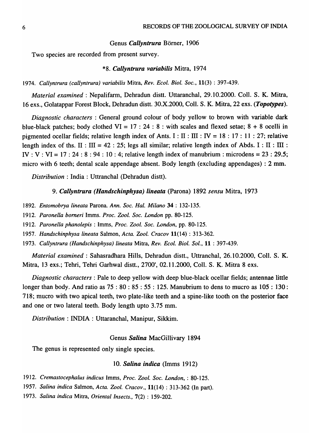#### Genus *Callyntrura* Börner, 1906

Two species are recorded from present survey.

#### *\*8. Callyntrura variabilis* Mitra, 1974

# *1974. Callyntrura (callyntrura) variabilis* Mitra, *Rev. Ecol. BioI. Soc.,* 11(3) : 397-439.

*Material examined:* Nepalifarm, Dehradun distt. Uttaranchal, 29.10.2000. ColI. S. K. Mitra, 16 exs., Golatappar Forest Block, Dehradun distt. 30.X.20OO, ColI. S. K. Mitra, 22 exs. *(Topotypes).* 

*Diagnostic characters* : General ground colour of body yellow to brown with variable dark blue-black patches; body clothed  $VI = 17 : 24 : 8 :$  with scales and flexed setae;  $8 + 8$  ocelli in pigmented ocellar fields; relative length index of Ants. I : II : III : IV = 18 : 17 : 11 : 27; relative length index of ths. II : III = 42 : 25; legs all similar; relative length index of Abds. I : II : III : IV : V : VI = 17 : 24 : 8 : 94 : 10 : 4; relative length index of manubrium : microdens = 23 : 29.5; micro with 6 teeth; dental scale appendage absent. Body length (excluding appendages) : 2 mm.

*Distribution:* India: Uttranchal (Dehradun distt).

#### *9. Callyntrura (Handschinphysa) lineata* (Parona) 1892 *sensu* Mitra, 1973

- *1892. Entomobrya lineata* Parona. *Ann. Soc. Hal. Milano* 34 : 132-135.
- *1912. Paronella bomer;* Imms. *Proc. Zool. Soc. London* pp. 80-125.
- *1912. Paronella phanolepis* : Imms, *Proc. Zool. Soc. London,* pp. 80-125.
- *1957. Handschinphysa lineata* Salmon, *Acta. Zool. Cracov* 11(14) : 313-362.
- *1973. Callyntrura (Handschinphysa) lineata* Mitra, *Rev. Ecol. Bioi. Sol.,* 11 : 397-439.

*Material examined* : Sahasradhara Hills, Dehradun distt., Uttranchal, 26.10.2000, CoIl. S. K. Mitra, 13 exs.; Tehri, Tehri Garhwal distt., 2700', 02.11.2000, Coil. S. K. Mitra 8 exs.

*Diagnostic characters:* Pale to deep yellow with deep blue-black ocellar fields; antennae little longer than body. And ratio as 75 : 80 : 85 : 55 : 125. Manubrium to dens to mucro as 105 : 130: 718; mucro with two apical teeth, two plate-like teeth and a spine-like tooth on the posterior face and one or two lateral teeth. Body length upto 3.75 mm.

*Distribution* : INDIA: Uttaranchal, Manipur, Sikkim.

#### Genus *Salina* MacGillivary 1894

The genus is represented only single species.

#### 10. *Salina. indica* (Imms 1912)

- *1912. Cremastocephalus indicus* Imms, *Proc. Zool. Soc. London,* : 80-125.
- *1957. Salina indica* Salmon,Acta. *Zool. Cracov.,* 11(14): 313-362 (In part).
- *1973. Salina indica* Mitra, *Oriental Insects.,* 7(2) : 159-202.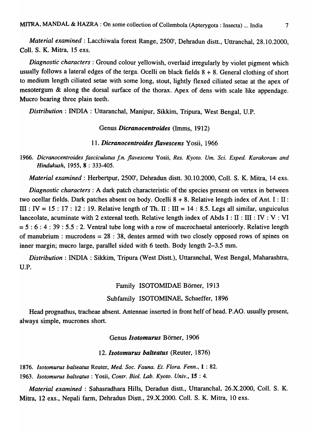*Material examined:* Lacchiwala forest Range, 2500', Dehradun distt., Uttranchal, 28.10.2000, ColI. S. K. Mitra, 15 exs.

*Diagnostic characters:* Ground colour yellowish, overlaid irregularly by violet pigment which usually follows a lateral edges of the terga. Ocelli on black fields  $8 + 8$ . General clothing of short to medium length ciliated setae with some long, stout, lightly flexed ciliated setae at the apex of mesotergum & along the dorsal surface of the thorax. Apex of dens with scale like appendage. Mucro bearing three plain teeth.

*Distribution:* INDIA : Uttaranchal, Manipur, Sikkim, Tripura, West Bengal, U.P.

#### Genus *Dicranocentroides* (Imms, 1912)

# *11. Dicranocentroides flavescens* Y osii, 1966

*1966. Dicranocentroides Jasciculatus f.n. flavescens* Yosii, *Res. Kyoto. Urn. Sci. Exped. Karakoram and Hindukush,* 1955, 8 : 333-405.

*Material examined:* Herbertpur, 2500', Dehradun distt. 30.10.2000, Coil. S. K. Mitra, 14 exs.

*Diagnostic characters:* A dark patch characteristic of the species present on vertex in between two ocellar fields. Dark patches absent on body. Ocelli  $8 + 8$ . Relative length index of Ant. I : II: III: IV = 15: 17: 12: 19. Relative length of Th. II: III = 14: 8.5. Legs all similar, unguiculus lanceolate, acuminate with 2 external teeth. Relative length index of Abds  $I : II : III : IV : V : VI$  $= 5 : 6 : 4 : 39 : 5.5 : 2$ . Ventral tube long with a row of macrochaetal anterioorly. Relative length of manubrium : mucrodens  $= 28 : 38$ , dentes armed with two closely opposed rows of spines on inner margin; mucro large, parallel sided with 6 teeth. Body length 2-3.5 mm.

*Distribution:* INDIA: Sikkim, Tripura (West Distt.), Uttaranchal, West Bengal, Maharashtra, U.P.

## Family ISOTOMIDAE Börner, 1913

# Subfamily ISOTOMINAE, Schaeffer, 1896

Head prognathus, tracheae absent. Antennae inserted in front helf of head. P.AO. usually present, always simple, mucrones short.

## Genus *Isotomurus* Börner, 1906

#### *12. lsotomurus balteatus* (Reuter, 1876)

*1876. Isotomurus balteatus* Reuter, *Med. Soc. Fauna. Et. Flora. Fenn.,* 1 : 82.

*1963. Isotomurus balteatus* : Yosii, *Contra Bioi. Lab. Kyoto. Univ.,* 15 : 4.

*Material examined* : Sahasradhara Hills, Deradun distt., Uttaranchal, 26.X.2000, Coil. S. K. Mitra, 12 exs., Nepali farm, Dehradun Distt., 29.X.2000. ColI. S. K. Mitra, 10 exs.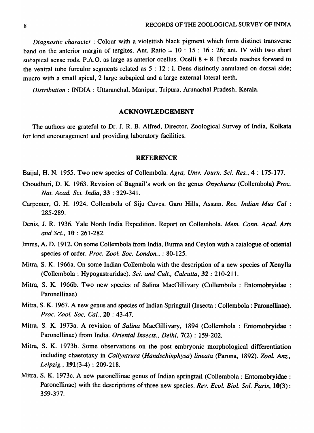*Diagnostic character:* Colour with a violettish black pigment which form distinct transverse band on the anterior margin of tergites. Ant. Ratio = 10 : 15 : 16 : 26; ant. *N* with two short subapical sense rods. P.A.O. as large as anterior ocellus. Ocelli 8 + 8. Furcula reaches forward to the ventral tube furculor segments related as 5 : 12 : 1. Dens distinctly annulated on dorsal side; mucro with a small apical, 2 large subapical and a large external lateral teeth.

*Distribution:* INDIA: Uttaranchal, Manipur, Tripura, Arunachal Pradesh, Kerala.

## ACKNOWLEDGEMENT

The authors are grateful to Dr. J. R. B. Alfred, Director, Zoological Survey of India, Kolkata for kind encouragement and providing laboratory facilities.

#### **REFERENCE**

Baijal, H. N. 1955. Two new species of Collembola. *Agra, Umv. Joum. Sci. Res.,* 4 : 175-177.

- Choudhuri, D. K. 1963. Revision of Bagnail's work on the genus *Onychurus* (Collembola) *Proc. Nat. A cad. Sci. India,* 33 : 329-341.
- Carpenter, G. H. 1924. Collembola of Siju Caves. Garo Hills, Assam. *Rec. Indian Mus Cal* : 285-289.
- Denis, J. R. 1936. Yale North India Expedition. Report on Collembola. *Mem. Conn. A cad. Arts and Sci.,* 10 : 261-282.
- Imms, A. D. 1912. On some Collembola from India, Burma and Ceylon with a catalogue of oriental species of order. *Proc.* Zool~ *Soc. London.,* : 80-125.
- Mitra, S. K. 1966a. On some Indian Collembola with the description of a new species of Xenylla (Collembola : Hypogastruridae). *Sci. and Cult., Calcutta,* 32 : 210-211.
- Mitra, S. K. 1966b. Two new species of Salina MacGillivary (Collembola : Entomobryidae : Paronellinae)
- Mitra, S. K. 1967. A new genus and species of Indian Springtail (Insecta: Collembola: Paronellinae). *Proc. Zool. Soc. Cal.,* 20 : 43-47.
- Mitra, S. K. 1973a. A revision of *Salina* MacGillivary, 1894 (Collembola : Entomobryidae : Paronellinae) from India. *Oriental Insects., Delhi,* 7(2) : 159-202.
- Mitra, S. K. 1973b. Some observations on the post embryonic morphological differentiation including chaetotaxy in *Callyntrura (Handschinphysa) lineata (Parona, 1892). Zool. Anz.*, *Leipzig.,* 191(3-4) : 209-218.
- Mitra, S. K. 1973c. A new paronellinae genus of Indian springtail (Collembola : Entomobryidae : Paronellinae) with the descriptions of three new species. *Rev. Ecol. Biol. Sol. Paris*, 10(3): 359-377.